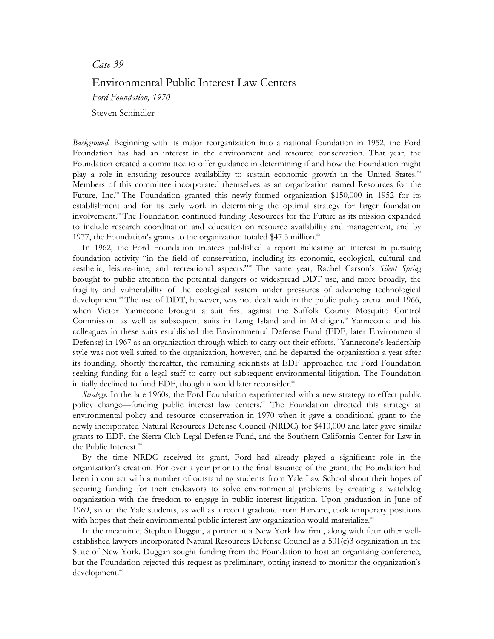## *Case 39*

## Environmental Public Interest Law Centers

*Ford Foundation, 1970* 

Steven Schindler

*Background.* Beginning with its major reorganization into a national foundation in 1952, the Ford Foundation has had an interest in the environment and resource conservation. That year, the Foundation created a committee to offer guidance in determining if and how the Foundation might play a role in ensuring resource availability to sustain economic growth in the United States.<sup>393</sup> Members of this committee incorporated themselves as an organization named Resources for the Future, Inc.<sup>34</sup> The Foundation granted this newly-formed organization \$150,000 in 1952 for its establishment and for its early work in determining the optimal strategy for larger foundation involvement.<sup>39</sup> The Foundation continued funding Resources for the Future as its mission expanded to include research coordination and education on resource availability and management, and by 1977, the Foundation's grants to the organization totaled \$47.5 million.<sup>566</sup>

In 1962, the Ford Foundation trustees published a report indicating an interest in pursuing foundation activity "in the field of conservation, including its economic, ecological, cultural and aesthetic, leisure-time, and recreational aspects."<sup>597</sup> The same year, Rachel Carson's *Silent Spring* brought to public attention the potential dangers of widespread DDT use, and more broadly, the fragility and vulnerability of the ecological system under pressures of advancing technological development.<sup>38</sup> The use of DDT, however, was not dealt with in the public policy arena until 1966, when Victor Yannecone brought a suit first against the Suffolk County Mosquito Control Commission as well as subsequent suits in Long Island and in Michigan.<sup>39</sup> Yannecone and his colleagues in these suits established the Environmental Defense Fund (EDF, later Environmental Defense) in 1967 as an organization through which to carry out their efforts.<sup>®</sup>Yannecone's leadership style was not well suited to the organization, however, and he departed the organization a year after its founding. Shortly thereafter, the remaining scientists at EDF approached the Ford Foundation seeking funding for a legal staff to carry out subsequent environmental litigation. The Foundation initially declined to fund EDF, though it would later reconsider.<sup>601</sup>

*Strategy.* In the late 1960s, the Ford Foundation experimented with a new strategy to effect public policy change—funding public interest law centers.<sup>60</sup> The Foundation directed this strategy at environmental policy and resource conservation in 1970 when it gave a conditional grant to the newly incorporated Natural Resources Defense Council (NRDC) for \$410,000 and later gave similar grants to EDF, the Sierra Club Legal Defense Fund, and the Southern California Center for Law in the Public Interest.<sup>60</sup>

By the time NRDC received its grant, Ford had already played a significant role in the organization's creation. For over a year prior to the final issuance of the grant, the Foundation had been in contact with a number of outstanding students from Yale Law School about their hopes of securing funding for their endeavors to solve environmental problems by creating a watchdog organization with the freedom to engage in public interest litigation. Upon graduation in June of 1969, six of the Yale students, as well as a recent graduate from Harvard, took temporary positions with hopes that their environmental public interest law organization would materialize.<sup>444</sup>

In the meantime, Stephen Duggan, a partner at a New York law firm, along with four other wellestablished lawyers incorporated Natural Resources Defense Council as a 501(c)3 organization in the State of New York. Duggan sought funding from the Foundation to host an organizing conference, but the Foundation rejected this request as preliminary, opting instead to monitor the organization's development.<sup>60</sup>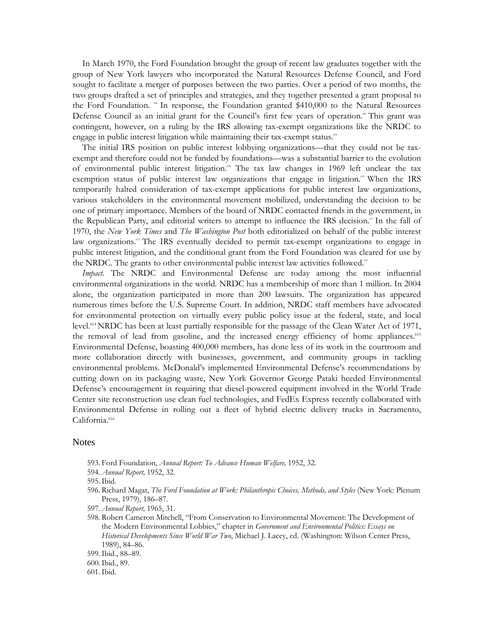In March 1970, the Ford Foundation brought the group of recent law graduates together with the group of New York lawyers who incorporated the Natural Resources Defense Council, and Ford sought to facilitate a merger of purposes between the two parties. Over a period of two months, the two groups drafted a set of principles and strategies, and they together presented a grant proposal to the Ford Foundation.  $\omega$  In response, the Foundation granted \$410,000 to the Natural Resources Defense Council as an initial grant for the Council's first few years of operation.<sup>60</sup> This grant was contingent, however, on a ruling by the IRS allowing tax-exempt organizations like the NRDC to engage in public interest litigation while maintaining their tax-exempt status.<sup>68</sup>

The initial IRS position on public interest lobbying organizations—that they could not be taxexempt and therefore could not be funded by foundations—was a substantial barrier to the evolution of environmental public interest litigation.<sup>60</sup> The tax law changes in 1969 left unclear the tax exemption status of public interest law organizations that engage in litigation.<sup>60</sup> When the IRS temporarily halted consideration of tax-exempt applications for public interest law organizations, various stakeholders in the environmental movement mobilized, understanding the decision to be one of primary importance. Members of the board of NRDC contacted friends in the government, in the Republican Party, and editorial writers to attempt to influence the IRS decision.<sup>61</sup> In the fall of 1970, the *New York Times* and *The Washington Post* both editorialized on behalf of the public interest law organizations.<sup>62</sup> The IRS eventually decided to permit tax-exempt organizations to engage in public interest litigation, and the conditional grant from the Ford Foundation was cleared for use by the NRDC. The grants to other environmental public interest law activities followed.<sup>43</sup>

*Impact.* The NRDC and Environmental Defense are today among the most influential environmental organizations in the world. NRDC has a membership of more than 1 million. In 2004 alone, the organization participated in more than 200 lawsuits. The organization has appeared numerous times before the U.S. Supreme Court. In addition, NRDC staff members have advocated for environmental protection on virtually every public policy issue at the federal, state, and local level.614NRDC has been at least partially responsible for the passage of the Clean Water Act of 1971, the removal of lead from gasoline, and the increased energy efficiency of home appliances.<sup>615</sup> Environmental Defense, boasting 400,000 members, has done less of its work in the courtroom and more collaboration directly with businesses, government, and community groups in tackling environmental problems. McDonald's implemented Environmental Defense's recommendations by cutting down on its packaging waste, New York Governor George Pataki heeded Environmental Defense's encouragement in requiring that diesel-powered equipment involved in the World Trade Center site reconstruction use clean fuel technologies, and FedEx Express recently collaborated with Environmental Defense in rolling out a fleet of hybrid electric delivery trucks in Sacramento, California.<sup>616</sup>

## Notes

- 593. Ford Foundation, *Annual Report: To Advance Human Welfare,* 1952, 32.
- 594. *Annual Report,* 1952, 32.
- 595.Ibid.
- 596. Richard Magat, *The Ford Foundation at Work: Philanthropic Choices, Methods, and Styles* (New York: Plenum Press, 1979), 186–87.
- 597. *Annual Report,* 1965, 31.
- 598. Robert Cameron Mitchell, "From Conservation to Environmental Movement: The Development of the Modern Environmental Lobbies," chapter in *Government and Environmental Politics: Essays on Historical Developments Since World War Two*, Michael J. Lacey, ed. (Washington: Wilson Center Press, 1989), 84–86.
- 599.Ibid., 88–89.
- 600.Ibid., 89.
- 601.Ibid.